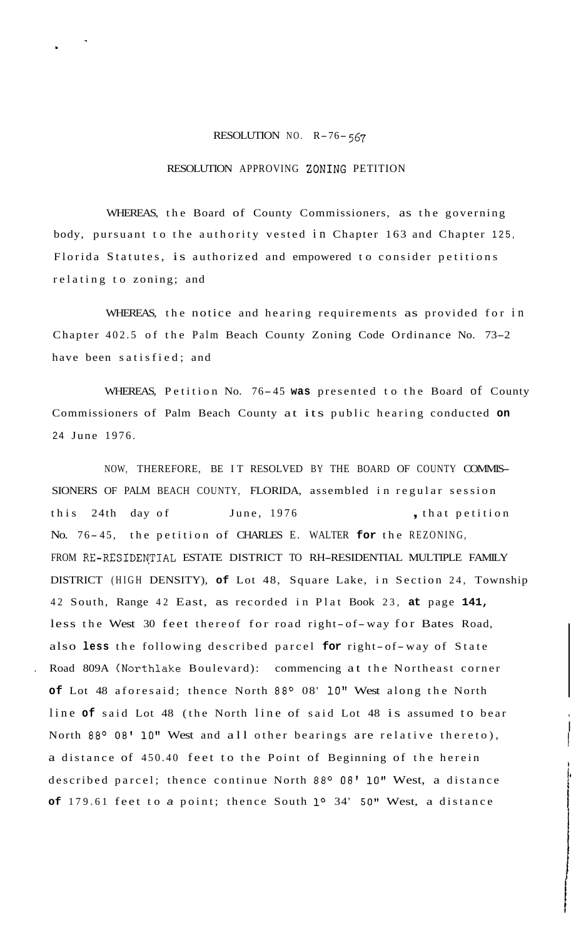## RESOLUTION NO. R-76- *<sup>567</sup>*

## RESOLUTION APPROVING ZONING PETITION

WHEREAS, the Board of County Commissioners, as the governing body, pursuant to the authority vested in Chapter 163 and Chapter 125, Florida Statutes, is authorized and empowered to consider petitions relating to zoning; and

WHEREAS, the notice and hearing requirements as provided for in Chapter 402.5 of the Palm Beach County Zoning Code Ordinance No. 73-2 have been satisfied; and

WHEREAS, Petition No. 76- <sup>45</sup>**was** presented to the Board of County Commissioners of Palm Beach County at its public hearing conducted **on**  24 June 1976.

NOW, THEREFORE, BE IT RESOLVED BY THE BOARD OF COUNTY COMMIS-SIONERS OF PALM BEACH COUNTY, FLORIDA, assembled in regular session this 24th day of June, 1976 , that petition No. 76-45, the petition of CHARLES E. WALTER for the REZONING, FROM RE-RESIDENTIAL ESTATE DISTRICT TO RH-RESIDENTIAL MULTIPLE FAMILY DISTRICT (HIGH DENSITY), **of** Lot 48, Square Lake, in Section 24, Township 42 South, Range 42 East, as recorded in Plat Book 23, **at** page **141,**  less the West 30 feet thereof for road right- of-way for Bates Road, also **less** the following described parcel **for** right- of-way of State . Road 809A (Northlake Boulevard): commencing at the Northeast corner of Lot 48 aforesaid; thence North 88° 08' 10" West along the North line of said Lot 48 (the North line of said Lot 48 is assumed to bear North 88° 08' 10" West and all other bearings are relative thereto), a distance of 450.40 feet to the Point of Beginning of the herein described parcel; thence continue North 88° 08' 10" West, a distance **of** 179.61 feet to *a* point; thence South **lo** 34' 50" West, a distance

I 7

i<br>I

**I**